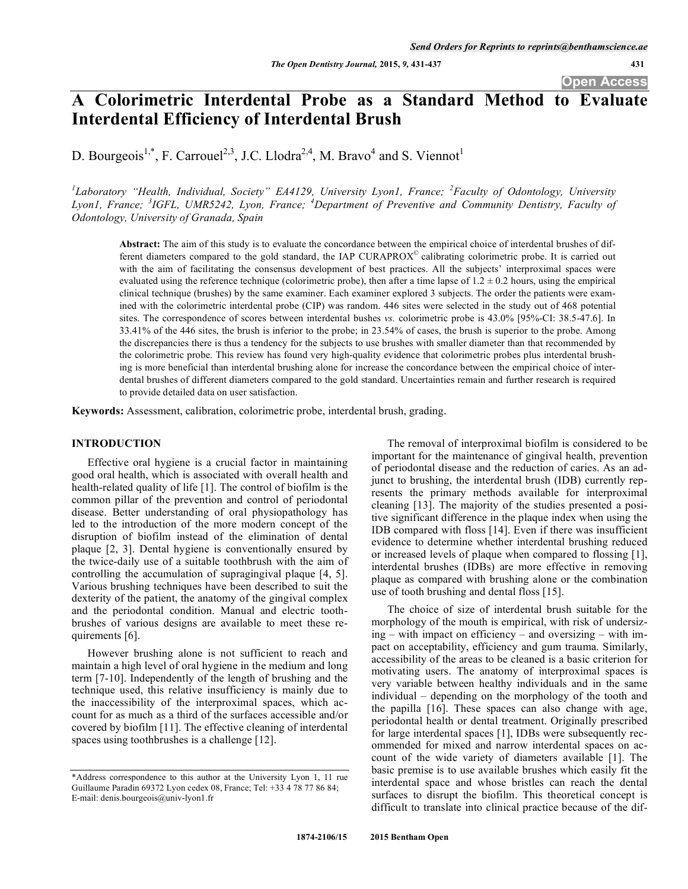**Open Access** 

# **A Colorimetric Interdental Probe as a Standard Method to Evaluate Interdental Efficiency of Interdental Brush**

D. Bourgeois<sup>1,\*</sup>, F. Carrouel<sup>2,3</sup>, J.C. Llodra<sup>2,4</sup>, M. Bravo<sup>4</sup> and S. Viennot<sup>1</sup>

<sup>1</sup>Laboratory "Health, Individual, Society" EA4129, University Lyon1, France; <sup>2</sup>Faculty of Odontology, University *Lyon1, France; <sup>3</sup> IGFL, UMR5242, Lyon, France; <sup>4</sup> Department of Preventive and Community Dentistry, Faculty of Odontology, University of Granada, Spain* 

**Abstract:** The aim of this study is to evaluate the concordance between the empirical choice of interdental brushes of different diameters compared to the gold standard, the IAP CURAPROX© calibrating colorimetric probe. It is carried out with the aim of facilitating the consensus development of best practices. All the subjects' interproximal spaces were evaluated using the reference technique (colorimetric probe), then after a time lapse of  $1.2 \pm 0.2$  hours, using the empirical clinical technique (brushes) by the same examiner. Each examiner explored 3 subjects. The order the patients were examined with the colorimetric interdental probe (CIP) was random. 446 sites were selected in the study out of 468 potential sites. The correspondence of scores between interdental bushes *vs.* colorimetric probe is 43.0% [95%-CI: 38.5-47.6]. In 33.41% of the 446 sites, the brush is inferior to the probe; in 23.54% of cases, the brush is superior to the probe. Among the discrepancies there is thus a tendency for the subjects to use brushes with smaller diameter than that recommended by the colorimetric probe. This review has found very high-quality evidence that colorimetric probes plus interdental brushing is more beneficial than interdental brushing alone for increase the concordance between the empirical choice of interdental brushes of different diameters compared to the gold standard. Uncertainties remain and further research is required to provide detailed data on user satisfaction.

**Keywords:** Assessment, calibration, colorimetric probe, interdental brush, grading.

# **INTRODUCTION**

Effective oral hygiene is a crucial factor in maintaining good oral health, which is associated with overall health and health-related quality of life [1]. The control of biofilm is the common pillar of the prevention and control of periodontal disease. Better understanding of oral physiopathology has led to the introduction of the more modern concept of the disruption of biofilm instead of the elimination of dental plaque [2, 3]. Dental hygiene is conventionally ensured by the twice-daily use of a suitable toothbrush with the aim of controlling the accumulation of supragingival plaque [4, 5]. Various brushing techniques have been described to suit the dexterity of the patient, the anatomy of the gingival complex and the periodontal condition. Manual and electric toothbrushes of various designs are available to meet these requirements [6].

However brushing alone is not sufficient to reach and maintain a high level of oral hygiene in the medium and long term [7-10]. Independently of the length of brushing and the technique used, this relative insufficiency is mainly due to the inaccessibility of the interproximal spaces, which account for as much as a third of the surfaces accessible and/or covered by biofilm [11]. The effective cleaning of interdental spaces using toothbrushes is a challenge [12].

The removal of interproximal biofilm is considered to be important for the maintenance of gingival health, prevention of periodontal disease and the reduction of caries. As an adjunct to brushing, the interdental brush (IDB) currently represents the primary methods available for interproximal cleaning [13]. The majority of the studies presented a positive significant difference in the plaque index when using the IDB compared with floss [14]. Even if there was insufficient evidence to determine whether interdental brushing reduced or increased levels of plaque when compared to flossing [1], interdental brushes (IDBs) are more effective in removing plaque as compared with brushing alone or the combination use of tooth brushing and dental floss [15].

The choice of size of interdental brush suitable for the morphology of the mouth is empirical, with risk of undersizing – with impact on efficiency – and oversizing – with impact on acceptability, efficiency and gum trauma. Similarly, accessibility of the areas to be cleaned is a basic criterion for motivating users. The anatomy of interproximal spaces is very variable between healthy individuals and in the same individual – depending on the morphology of the tooth and the papilla [16]. These spaces can also change with age, periodontal health or dental treatment. Originally prescribed for large interdental spaces [1], IDBs were subsequently recommended for mixed and narrow interdental spaces on account of the wide variety of diameters available [1]. The basic premise is to use available brushes which easily fit the interdental space and whose bristles can reach the dental surfaces to disrupt the biofilm. This theoretical concept is difficult to translate into clinical practice because of the dif-

<sup>\*</sup>Address correspondence to this author at the University Lyon 1, 11 rue Guillaume Paradin 69372 Lyon cedex 08, France; Tel: +33 4 78 77 86 84; E-mail: denis.bourgeois@univ-lyon1.fr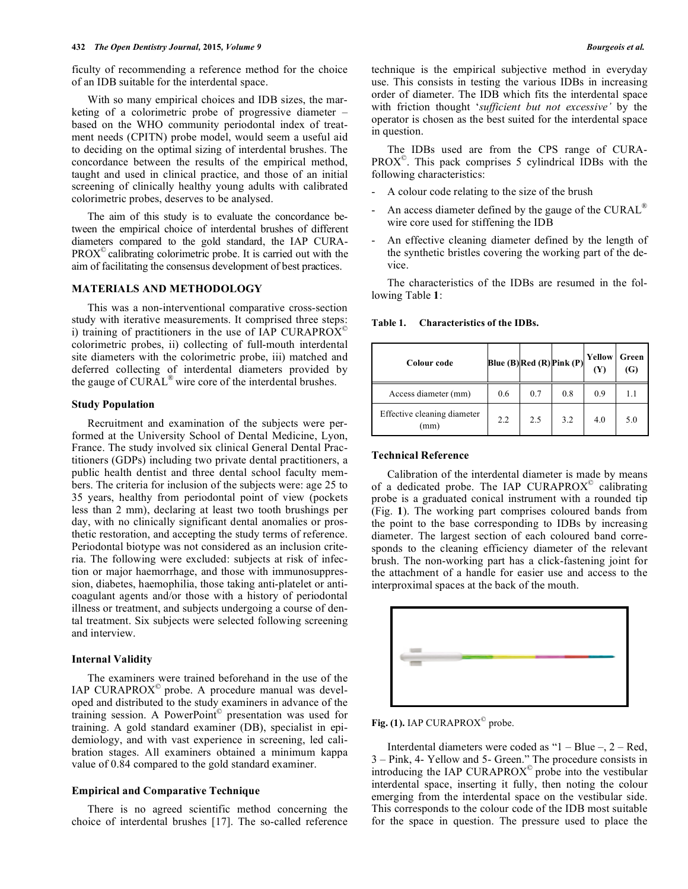ficulty of recommending a reference method for the choice of an IDB suitable for the interdental space.

With so many empirical choices and IDB sizes, the marketing of a colorimetric probe of progressive diameter – based on the WHO community periodontal index of treatment needs (CPITN) probe model, would seem a useful aid to deciding on the optimal sizing of interdental brushes. The concordance between the results of the empirical method, taught and used in clinical practice, and those of an initial screening of clinically healthy young adults with calibrated colorimetric probes, deserves to be analysed.

The aim of this study is to evaluate the concordance between the empirical choice of interdental brushes of different diameters compared to the gold standard, the IAP CURA-PROX© calibrating colorimetric probe. It is carried out with the aim of facilitating the consensus development of best practices.

## **MATERIALS AND METHODOLOGY**

This was a non-interventional comparative cross-section study with iterative measurements. It comprised three steps: i) training of practitioners in the use of IAP CURAPROX $^{\circ}$ colorimetric probes, ii) collecting of full-mouth interdental site diameters with the colorimetric probe, iii) matched and deferred collecting of interdental diameters provided by the gauge of CURAL® wire core of the interdental brushes.

#### **Study Population**

Recruitment and examination of the subjects were performed at the University School of Dental Medicine, Lyon, France. The study involved six clinical General Dental Practitioners (GDPs) including two private dental practitioners, a public health dentist and three dental school faculty members. The criteria for inclusion of the subjects were: age 25 to 35 years, healthy from periodontal point of view (pockets less than 2 mm), declaring at least two tooth brushings per day, with no clinically significant dental anomalies or prosthetic restoration, and accepting the study terms of reference. Periodontal biotype was not considered as an inclusion criteria. The following were excluded: subjects at risk of infection or major haemorrhage, and those with immunosuppression, diabetes, haemophilia, those taking anti-platelet or anticoagulant agents and/or those with a history of periodontal illness or treatment, and subjects undergoing a course of dental treatment. Six subjects were selected following screening and interview.

### **Internal Validity**

The examiners were trained beforehand in the use of the IAP CURAPROX $^{\circ}$  probe. A procedure manual was developed and distributed to the study examiners in advance of the training session. A PowerPoint© presentation was used for training. A gold standard examiner (DB), specialist in epidemiology, and with vast experience in screening, led calibration stages. All examiners obtained a minimum kappa value of 0.84 compared to the gold standard examiner.

## **Empirical and Comparative Technique**

There is no agreed scientific method concerning the choice of interdental brushes [17]. The so-called reference technique is the empirical subjective method in everyday use. This consists in testing the various IDBs in increasing order of diameter. The IDB which fits the interdental space with friction thought '*sufficient but not excessive'* by the operator is chosen as the best suited for the interdental space in question.

The IDBs used are from the CPS range of CURA- $PROX<sup>°</sup>$ . This pack comprises 5 cylindrical IDBs with the following characteristics:

- A colour code relating to the size of the brush
- An access diameter defined by the gauge of the  $CURAL<sup>®</sup>$ wire core used for stiffening the IDB
- An effective cleaning diameter defined by the length of the synthetic bristles covering the working part of the device.

The characteristics of the IDBs are resumed in the following Table **1**:

**Table 1. Characteristics of the IDBs.** 

| Colour code                         | Blue $(B)$ Red $(R)$ Pink $(P)$ |     |     | Yellow<br>M | Green<br>(G) |
|-------------------------------------|---------------------------------|-----|-----|-------------|--------------|
| Access diameter (mm)                | 0.6                             | 0.7 | 0.8 | 0.9         | 1.1          |
| Effective cleaning diameter<br>(mm) | 2.2                             | 2.5 | 3.2 | 4.0         | 5.0          |

## **Technical Reference**

Calibration of the interdental diameter is made by means of a dedicated probe. The IAP CURAPROX<sup>®</sup> calibrating probe is a graduated conical instrument with a rounded tip (Fig. **1**). The working part comprises coloured bands from the point to the base corresponding to IDBs by increasing diameter. The largest section of each coloured band corresponds to the cleaning efficiency diameter of the relevant brush. The non-working part has a click-fastening joint for the attachment of a handle for easier use and access to the interproximal spaces at the back of the mouth.



Fig. (1). IAP CURAPROX<sup>©</sup> probe.

Interdental diameters were coded as "1 – Blue –, 2 – Red, 3 – Pink, 4- Yellow and 5- Green." The procedure consists in introducing the IAP CURAPROX $^{\circ}$  probe into the vestibular interdental space, inserting it fully, then noting the colour emerging from the interdental space on the vestibular side. This corresponds to the colour code of the IDB most suitable for the space in question. The pressure used to place the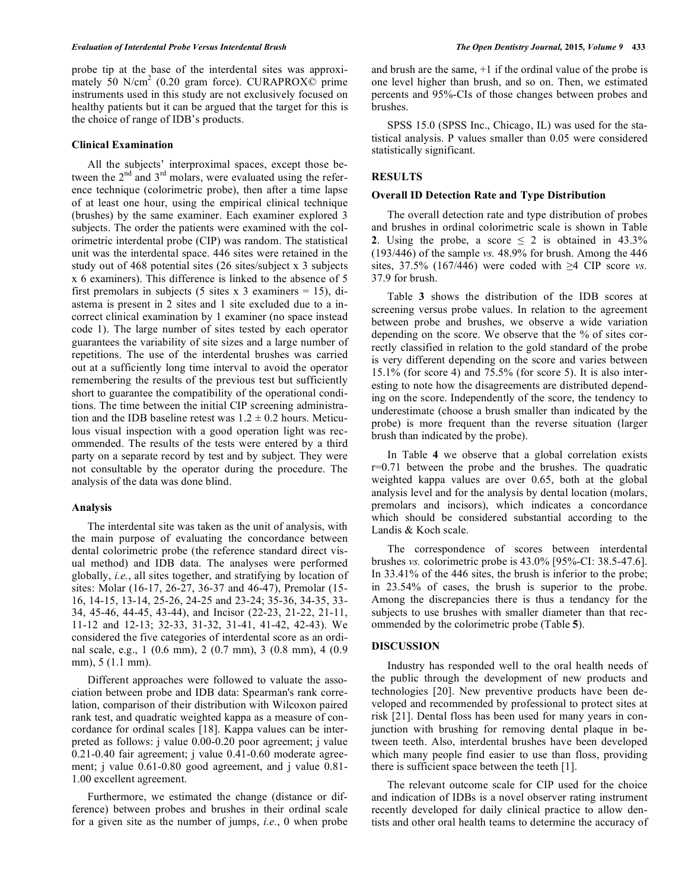probe tip at the base of the interdental sites was approximately 50  $N/cm^2$  (0.20 gram force). CURAPROX $\overrightarrow{Q}$  prime instruments used in this study are not exclusively focused on healthy patients but it can be argued that the target for this is the choice of range of IDB's products.

### **Clinical Examination**

All the subjects' interproximal spaces, except those between the  $2<sup>nd</sup>$  and  $3<sup>rd</sup>$  molars, were evaluated using the reference technique (colorimetric probe), then after a time lapse of at least one hour, using the empirical clinical technique (brushes) by the same examiner. Each examiner explored 3 subjects. The order the patients were examined with the colorimetric interdental probe (CIP) was random. The statistical unit was the interdental space. 446 sites were retained in the study out of 468 potential sites (26 sites/subject x 3 subjects x 6 examiners). This difference is linked to the absence of 5 first premolars in subjects (5 sites x 3 examiners = 15), diastema is present in 2 sites and 1 site excluded due to a incorrect clinical examination by 1 examiner (no space instead code 1). The large number of sites tested by each operator guarantees the variability of site sizes and a large number of repetitions. The use of the interdental brushes was carried out at a sufficiently long time interval to avoid the operator remembering the results of the previous test but sufficiently short to guarantee the compatibility of the operational conditions. The time between the initial CIP screening administration and the IDB baseline retest was  $1.2 \pm 0.2$  hours. Meticulous visual inspection with a good operation light was recommended. The results of the tests were entered by a third party on a separate record by test and by subject. They were not consultable by the operator during the procedure. The analysis of the data was done blind.

# **Analysis**

The interdental site was taken as the unit of analysis, with the main purpose of evaluating the concordance between dental colorimetric probe (the reference standard direct visual method) and IDB data. The analyses were performed globally, *i.e.*, all sites together, and stratifying by location of sites: Molar (16-17, 26-27, 36-37 and 46-47), Premolar (15- 16, 14-15, 13-14, 25-26, 24-25 and 23-24; 35-36, 34-35, 33- 34, 45-46, 44-45, 43-44), and Incisor (22-23, 21-22, 21-11, 11-12 and 12-13; 32-33, 31-32, 31-41, 41-42, 42-43). We considered the five categories of interdental score as an ordinal scale, e.g., 1 (0.6 mm), 2 (0.7 mm), 3 (0.8 mm), 4 (0.9 mm), 5 (1.1 mm).

Different approaches were followed to valuate the association between probe and IDB data: Spearman's rank correlation, comparison of their distribution with Wilcoxon paired rank test, and quadratic weighted kappa as a measure of concordance for ordinal scales [18]. Kappa values can be interpreted as follows: j value 0.00-0.20 poor agreement; j value 0.21-0.40 fair agreement; j value 0.41-0.60 moderate agreement; j value 0.61-0.80 good agreement, and j value 0.81- 1.00 excellent agreement.

Furthermore, we estimated the change (distance or difference) between probes and brushes in their ordinal scale for a given site as the number of jumps, *i.e.*, 0 when probe and brush are the same, +1 if the ordinal value of the probe is one level higher than brush, and so on. Then, we estimated percents and 95%-CIs of those changes between probes and brushes.

SPSS 15.0 (SPSS Inc., Chicago, IL) was used for the statistical analysis. P values smaller than 0.05 were considered statistically significant.

#### **RESULTS**

#### **Overall ID Detection Rate and Type Distribution**

The overall detection rate and type distribution of probes and brushes in ordinal colorimetric scale is shown in Table **2**. Using the probe, a score  $\leq$  2 is obtained in 43.3% (193/446) of the sample *vs.* 48.9% for brush. Among the 446 sites,  $37.5\%$  (167/446) were coded with  $\geq 4$  CIP score *vs*. 37.9 for brush.

Table **3** shows the distribution of the IDB scores at screening versus probe values. In relation to the agreement between probe and brushes, we observe a wide variation depending on the score. We observe that the % of sites correctly classified in relation to the gold standard of the probe is very different depending on the score and varies between 15.1% (for score 4) and 75.5% (for score 5). It is also interesting to note how the disagreements are distributed depending on the score. Independently of the score, the tendency to underestimate (choose a brush smaller than indicated by the probe) is more frequent than the reverse situation (larger brush than indicated by the probe).

In Table **4** we observe that a global correlation exists r=0.71 between the probe and the brushes. The quadratic weighted kappa values are over 0.65, both at the global analysis level and for the analysis by dental location (molars, premolars and incisors), which indicates a concordance which should be considered substantial according to the Landis & Koch scale.

The correspondence of scores between interdental brushes *vs.* colorimetric probe is 43.0% [95%-CI: 38.5-47.6]. In 33.41% of the 446 sites, the brush is inferior to the probe; in 23.54% of cases, the brush is superior to the probe. Among the discrepancies there is thus a tendancy for the subjects to use brushes with smaller diameter than that recommended by the colorimetric probe (Table **5**).

#### **DISCUSSION**

Industry has responded well to the oral health needs of the public through the development of new products and technologies [20]. New preventive products have been developed and recommended by professional to protect sites at risk [21]. Dental floss has been used for many years in conjunction with brushing for removing dental plaque in between teeth. Also, interdental brushes have been developed which many people find easier to use than floss, providing there is sufficient space between the teeth [1].

The relevant outcome scale for CIP used for the choice and indication of IDBs is a novel observer rating instrument recently developed for daily clinical practice to allow dentists and other oral health teams to determine the accuracy of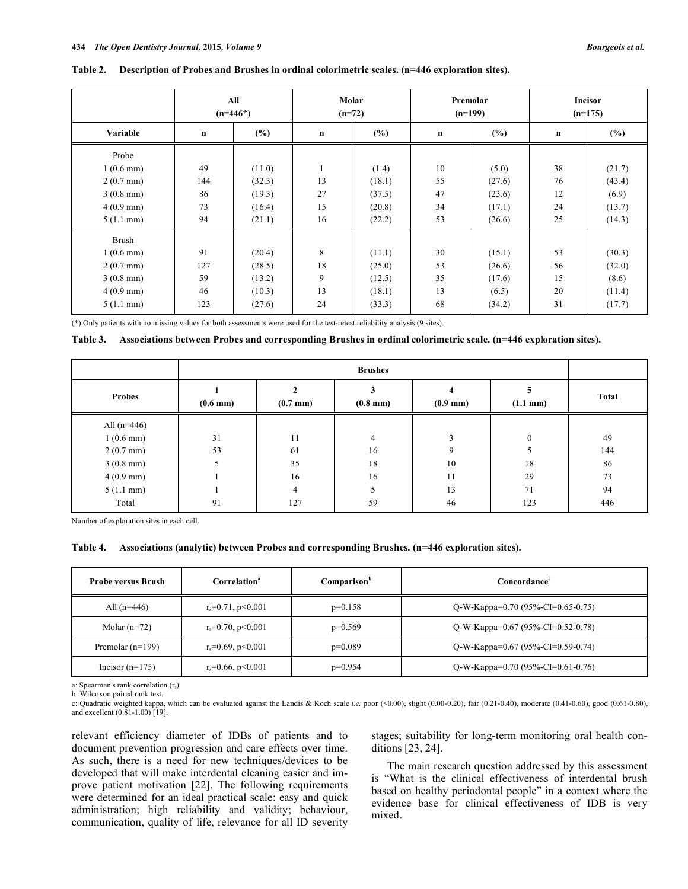#### **Table 2. Description of Probes and Brushes in ordinal colorimetric scales. (n=446 exploration sites).**

|                     | All<br>$(n=446*)$ |        | Molar<br>$(n=72)$ |        | Premolar<br>$(n=199)$ |        | <b>Incisor</b><br>$(n=175)$ |        |
|---------------------|-------------------|--------|-------------------|--------|-----------------------|--------|-----------------------------|--------|
| Variable            | $\mathbf n$       | (%)    | $\mathbf n$       | (%)    | $\mathbf n$           | (%)    | $\mathbf n$                 | $(\%)$ |
| Probe               |                   |        |                   |        |                       |        |                             |        |
| $1(0.6 \text{ mm})$ | 49                | (11.0) | 1                 | (1.4)  | 10                    | (5.0)  | 38                          | (21.7) |
| $2(0.7 \text{ mm})$ | 144               | (32.3) | 13                | (18.1) | 55                    | (27.6) | 76                          | (43.4) |
| $3(0.8 \text{ mm})$ | 86                | (19.3) | 27                | (37.5) | 47                    | (23.6) | 12                          | (6.9)  |
| $4(0.9 \text{ mm})$ | 73                | (16.4) | 15                | (20.8) | 34                    | (17.1) | 24                          | (13.7) |
| $5(1.1 \text{ mm})$ | 94                | (21.1) | 16                | (22.2) | 53                    | (26.6) | 25                          | (14.3) |
| <b>Brush</b>        |                   |        |                   |        |                       |        |                             |        |
| $1(0.6 \text{ mm})$ | 91                | (20.4) | 8                 | (11.1) | 30                    | (15.1) | 53                          | (30.3) |
| $2(0.7 \text{ mm})$ | 127               | (28.5) | 18                | (25.0) | 53                    | (26.6) | 56                          | (32.0) |
| $3(0.8 \text{ mm})$ | 59                | (13.2) | 9                 | (12.5) | 35                    | (17.6) | 15                          | (8.6)  |
| $4(0.9 \text{ mm})$ | 46                | (10.3) | 13                | (18.1) | 13                    | (6.5)  | 20                          | (11.4) |
| $5(1.1 \text{ mm})$ | 123               | (27.6) | 24                | (33.3) | 68                    | (34.2) | 31                          | (17.7) |

(\*) Only patients with no missing values for both assessments were used for the test-retest reliability analysis (9 sites).

### **Table 3. Associations between Probes and corresponding Brushes in ordinal colorimetric scale. (n=446 exploration sites).**

| <b>Probes</b>       | $(0.7 \text{ mm})$<br>$(0.6 \text{ mm})$ |     | 3<br>$(0.8 \text{ mm})$ | 4<br>$(0.9 \text{ mm})$ | n.<br>$(1.1 \text{ mm})$ | <b>Total</b> |  |
|---------------------|------------------------------------------|-----|-------------------------|-------------------------|--------------------------|--------------|--|
| All $(n=446)$       |                                          |     |                         |                         |                          |              |  |
| $1(0.6 \text{ mm})$ | 31                                       | 11  | 4                       |                         |                          | 49           |  |
| $2(0.7 \text{ mm})$ | 53                                       | 61  | 16                      | Q                       |                          | 144          |  |
| $3(0.8 \text{ mm})$ |                                          | 35  | 18                      | 10                      | 18                       | 86           |  |
| $4(0.9 \text{ mm})$ |                                          | 16  | 16                      | 11                      | 29                       | 73           |  |
| $5(1.1 \text{ mm})$ |                                          | 4   |                         | 13                      | 71                       | 94           |  |
| Total               | 91                                       | 127 | 59                      | 46                      | 123                      | 446          |  |

Number of exploration sites in each cell.

#### **Table 4. Associations (analytic) between Probes and corresponding Brushes. (n=446 exploration sites).**

| <b>Probe versus Brush</b> | Correlation <sup>a</sup>     | Comparison <sup>b</sup> | Concordance <sup>c</sup>                 |
|---------------------------|------------------------------|-------------------------|------------------------------------------|
| All $(n=446)$             | $r_s = 0.71$ , $p \le 0.001$ | $p=0.158$               | Q-W-Kappa=0.70 (95%-CI=0.65-0.75)        |
| Molar $(n=72)$            | $r_s = 0.70$ , $p \le 0.001$ | $p=0.569$               | Q-W-Kappa= $0.67$ (95%-CI= $0.52$ -0.78) |
| Premolar $(n=199)$        | $r_s = 0.69$ , $p \le 0.001$ | $p=0.089$               | Q-W-Kappa=0.67 (95%-CI=0.59-0.74)        |
| Incisor $(n=175)$         | $r_s = 0.66$ , $p \le 0.001$ | $p=0.954$               | Q-W-Kappa=0.70 (95%-CI=0.61-0.76)        |

a: Spearman's rank correlation (r.)

b: Wilcoxon paired rank test.

c: Quadratic weighted kappa, which can be evaluated against the Landis & Koch scale *i.e.* poor (<0.00), slight (0.00-0.20), fair (0.21-0.40), moderate (0.41-0.60), good (0.61-0.80), and excellent (0.81-1.00) [19].

relevant efficiency diameter of IDBs of patients and to document prevention progression and care effects over time. As such, there is a need for new techniques/devices to be developed that will make interdental cleaning easier and improve patient motivation [22]. The following requirements were determined for an ideal practical scale: easy and quick administration; high reliability and validity; behaviour, communication, quality of life, relevance for all ID severity stages; suitability for long-term monitoring oral health conditions [23, 24].

The main research question addressed by this assessment is "What is the clinical effectiveness of interdental brush based on healthy periodontal people" in a context where the evidence base for clinical effectiveness of IDB is very mixed.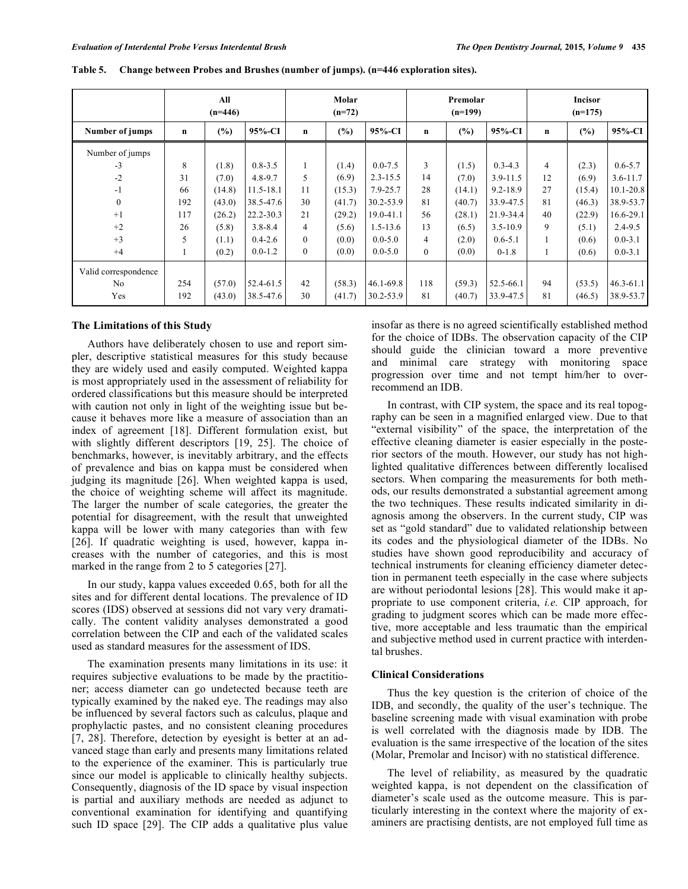|                      | All<br>$(n=446)$ |        |             | Molar<br>$(n=72)$ |        | Premolar<br>$(n=199)$ |                |        | <b>Incisor</b><br>$(n=175)$ |                |        |               |
|----------------------|------------------|--------|-------------|-------------------|--------|-----------------------|----------------|--------|-----------------------------|----------------|--------|---------------|
| Number of jumps      | $\mathbf n$      | (%)    | $95%$ -CI   | n                 | (%)    | 95%-CI                | n              | (%)    | 95%-CI                      | $\mathbf n$    | (%)    | $95%$ -CI     |
| Number of jumps      |                  |        |             |                   |        |                       |                |        |                             |                |        |               |
| $-3$                 | 8                | (1.8)  | $0.8 - 3.5$ |                   | (1.4)  | $0.0 - 7.5$           | 3              | (1.5)  | $0.3 - 4.3$                 | $\overline{4}$ | (2.3)  | $0.6 - 5.7$   |
| $-2$                 | 31               | (7.0)  | $4.8 - 9.7$ | 5                 | (6.9)  | $2.3 - 15.5$          | 14             | (7.0)  | $3.9 - 11.5$                | 12             | (6.9)  | $3.6 - 11.7$  |
| $-1$                 | 66               | (14.8) | 11.5-18.1   | 11                | (15.3) | 7.9-25.7              | 28             | (14.1) | $9.2 - 18.9$                | 27             | (15.4) | $10.1 - 20.8$ |
| $\mathbf{0}$         | 192              | (43.0) | 38.5-47.6   | 30                | (41.7) | 30.2-53.9             | 81             | (40.7) | 33.9-47.5                   | 81             | (46.3) | 38.9-53.7     |
| $+1$                 | 117              | (26.2) | 22.2-30.3   | 21                | (29.2) | 19.0-41.1             | 56             | (28.1) | 21.9-34.4                   | 40             | (22.9) | 16.6-29.1     |
| $+2$                 | 26               | (5.8)  | $3.8 - 8.4$ | 4                 | (5.6)  | $1.5 - 13.6$          | 13             | (6.5)  | $3.5 - 10.9$                | 9              | (5.1)  | $2.4 - 9.5$   |
| $+3$                 | 5                | (1.1)  | $0.4 - 2.6$ | $\mathbf{0}$      | (0.0)  | $0.0 - 5.0$           | 4              | (2.0)  | $0.6 - 5.1$                 | $\perp$        | (0.6)  | $0.0 - 3.1$   |
| $+4$                 | 1                | (0.2)  | $0.0 - 1.2$ | $\mathbf{0}$      | (0.0)  | $0.0 - 5.0$           | $\overline{0}$ | (0.0)  | $0-1.8$                     | $\mathbf{1}$   | (0.6)  | $0.0 - 3.1$   |
| Valid correspondence |                  |        |             |                   |        |                       |                |        |                             |                |        |               |
| N <sub>0</sub>       | 254              | (57.0) | 52.4-61.5   | 42                | (58.3) | $46.1 - 69.8$         | 118            | (59.3) | 52.5-66.1                   | 94             | (53.5) | $46.3 - 61.1$ |
| Yes                  | 192              | (43.0) | 38.5-47.6   | 30                | (41.7) | 30.2-53.9             | 81             | (40.7) | 33.9-47.5                   | 81             | (46.5) | 38.9-53.7     |

**Table 5. Change between Probes and Brushes (number of jumps). (n=446 exploration sites).** 

#### **The Limitations of this Study**

Authors have deliberately chosen to use and report simpler, descriptive statistical measures for this study because they are widely used and easily computed. Weighted kappa is most appropriately used in the assessment of reliability for ordered classifications but this measure should be interpreted with caution not only in light of the weighting issue but because it behaves more like a measure of association than an index of agreement [18]. Different formulation exist, but with slightly different descriptors [19, 25]. The choice of benchmarks, however, is inevitably arbitrary, and the effects of prevalence and bias on kappa must be considered when judging its magnitude [26]. When weighted kappa is used, the choice of weighting scheme will affect its magnitude. The larger the number of scale categories, the greater the potential for disagreement, with the result that unweighted kappa will be lower with many categories than with few [26]. If quadratic weighting is used, however, kappa increases with the number of categories, and this is most marked in the range from 2 to 5 categories [27].

In our study, kappa values exceeded 0.65, both for all the sites and for different dental locations. The prevalence of ID scores (IDS) observed at sessions did not vary very dramatically. The content validity analyses demonstrated a good correlation between the CIP and each of the validated scales used as standard measures for the assessment of IDS.

The examination presents many limitations in its use: it requires subjective evaluations to be made by the practitioner; access diameter can go undetected because teeth are typically examined by the naked eye. The readings may also be influenced by several factors such as calculus, plaque and prophylactic pastes, and no consistent cleaning procedures [7, 28]. Therefore, detection by eyesight is better at an advanced stage than early and presents many limitations related to the experience of the examiner. This is particularly true since our model is applicable to clinically healthy subjects. Consequently, diagnosis of the ID space by visual inspection is partial and auxiliary methods are needed as adjunct to conventional examination for identifying and quantifying such ID space [29]. The CIP adds a qualitative plus value insofar as there is no agreed scientifically established method for the choice of IDBs. The observation capacity of the CIP should guide the clinician toward a more preventive and minimal care strategy with monitoring space progression over time and not tempt him/her to overrecommend an IDB.

In contrast, with CIP system, the space and its real topography can be seen in a magnified enlarged view. Due to that "external visibility" of the space, the interpretation of the effective cleaning diameter is easier especially in the posterior sectors of the mouth. However, our study has not highlighted qualitative differences between differently localised sectors. When comparing the measurements for both methods, our results demonstrated a substantial agreement among the two techniques. These results indicated similarity in diagnosis among the observers. In the current study, CIP was set as "gold standard" due to validated relationship between its codes and the physiological diameter of the IDBs. No studies have shown good reproducibility and accuracy of technical instruments for cleaning efficiency diameter detection in permanent teeth especially in the case where subjects are without periodontal lesions [28]. This would make it appropriate to use component criteria, *i.e.* CIP approach, for grading to judgment scores which can be made more effective, more acceptable and less traumatic than the empirical and subjective method used in current practice with interdental brushes.

# **Clinical Considerations**

Thus the key question is the criterion of choice of the IDB, and secondly, the quality of the user's technique. The baseline screening made with visual examination with probe is well correlated with the diagnosis made by IDB. The evaluation is the same irrespective of the location of the sites (Molar, Premolar and Incisor) with no statistical difference.

The level of reliability, as measured by the quadratic weighted kappa, is not dependent on the classification of diameter's scale used as the outcome measure. This is particularly interesting in the context where the majority of examiners are practising dentists, are not employed full time as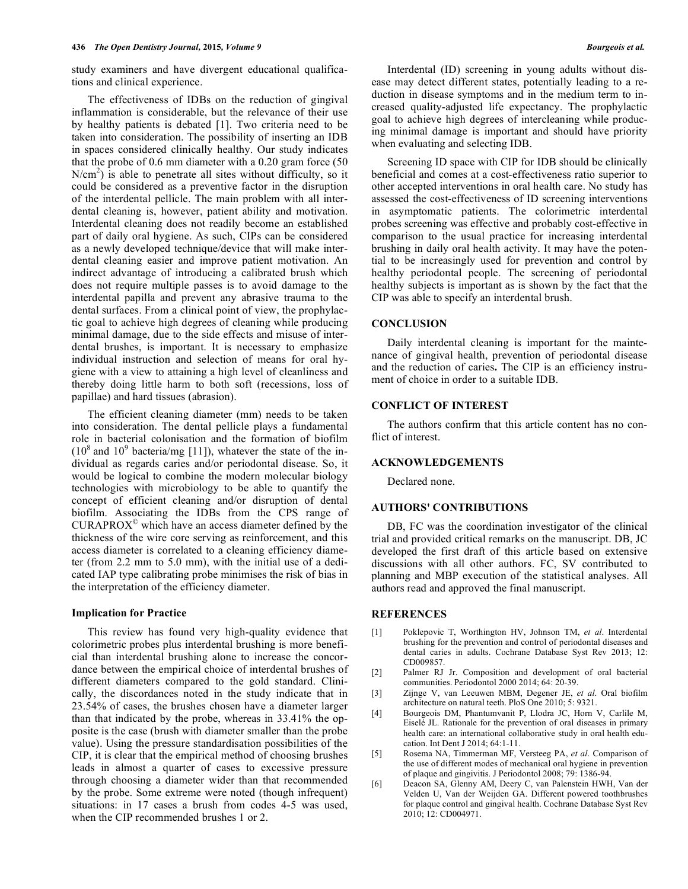study examiners and have divergent educational qualifications and clinical experience.

The effectiveness of IDBs on the reduction of gingival inflammation is considerable, but the relevance of their use by healthy patients is debated [1]. Two criteria need to be taken into consideration. The possibility of inserting an IDB in spaces considered clinically healthy. Our study indicates that the probe of 0.6 mm diameter with a 0.20 gram force (50  $N/cm<sup>2</sup>$ ) is able to penetrate all sites without difficulty, so it could be considered as a preventive factor in the disruption of the interdental pellicle. The main problem with all interdental cleaning is, however, patient ability and motivation. Interdental cleaning does not readily become an established part of daily oral hygiene. As such, CIPs can be considered as a newly developed technique/device that will make interdental cleaning easier and improve patient motivation. An indirect advantage of introducing a calibrated brush which does not require multiple passes is to avoid damage to the interdental papilla and prevent any abrasive trauma to the dental surfaces. From a clinical point of view, the prophylactic goal to achieve high degrees of cleaning while producing minimal damage, due to the side effects and misuse of interdental brushes, is important. It is necessary to emphasize individual instruction and selection of means for oral hygiene with a view to attaining a high level of cleanliness and thereby doing little harm to both soft (recessions, loss of papillae) and hard tissues (abrasion).

The efficient cleaning diameter (mm) needs to be taken into consideration. The dental pellicle plays a fundamental role in bacterial colonisation and the formation of biofilm  $(10^8 \text{ and } 10^9 \text{ bacteria/mg } [11])$ , whatever the state of the individual as regards caries and/or periodontal disease. So, it would be logical to combine the modern molecular biology technologies with microbiology to be able to quantify the concept of efficient cleaning and/or disruption of dental biofilm. Associating the IDBs from the CPS range of CURAPROX© which have an access diameter defined by the thickness of the wire core serving as reinforcement, and this access diameter is correlated to a cleaning efficiency diameter (from 2.2 mm to 5.0 mm), with the initial use of a dedicated IAP type calibrating probe minimises the risk of bias in the interpretation of the efficiency diameter.

#### **Implication for Practice**

This review has found very high-quality evidence that colorimetric probes plus interdental brushing is more beneficial than interdental brushing alone to increase the concordance between the empirical choice of interdental brushes of different diameters compared to the gold standard. Clinically, the discordances noted in the study indicate that in 23.54% of cases, the brushes chosen have a diameter larger than that indicated by the probe, whereas in 33.41% the opposite is the case (brush with diameter smaller than the probe value). Using the pressure standardisation possibilities of the CIP, it is clear that the empirical method of choosing brushes leads in almost a quarter of cases to excessive pressure through choosing a diameter wider than that recommended by the probe. Some extreme were noted (though infrequent) situations: in 17 cases a brush from codes 4-5 was used, when the CIP recommended brushes 1 or 2.

Interdental (ID) screening in young adults without disease may detect different states, potentially leading to a reduction in disease symptoms and in the medium term to increased quality-adjusted life expectancy. The prophylactic goal to achieve high degrees of intercleaning while producing minimal damage is important and should have priority when evaluating and selecting IDB.

Screening ID space with CIP for IDB should be clinically beneficial and comes at a cost-effectiveness ratio superior to other accepted interventions in oral health care. No study has assessed the cost-effectiveness of ID screening interventions in asymptomatic patients. The colorimetric interdental probes screening was effective and probably cost-effective in comparison to the usual practice for increasing interdental brushing in daily oral health activity. It may have the potential to be increasingly used for prevention and control by healthy periodontal people. The screening of periodontal healthy subjects is important as is shown by the fact that the CIP was able to specify an interdental brush.

#### **CONCLUSION**

Daily interdental cleaning is important for the maintenance of gingival health, prevention of periodontal disease and the reduction of caries**.** The CIP is an efficiency instrument of choice in order to a suitable IDB.

#### **CONFLICT OF INTEREST**

The authors confirm that this article content has no conflict of interest.

# **ACKNOWLEDGEMENTS**

Declared none.

## **AUTHORS' CONTRIBUTIONS**

DB, FC was the coordination investigator of the clinical trial and provided critical remarks on the manuscript. DB, JC developed the first draft of this article based on extensive discussions with all other authors. FC, SV contributed to planning and MBP execution of the statistical analyses. All authors read and approved the final manuscript.

## **REFERENCES**

- [1] Poklepovic T, Worthington HV, Johnson TM, *et al*. Interdental brushing for the prevention and control of periodontal diseases and dental caries in adults. Cochrane Database Syst Rev 2013; 12: CD009857.
- [2] Palmer RJ Jr. Composition and development of oral bacterial communities. Periodontol 2000 2014; 64: 20-39.
- [3] Zijnge V, van Leeuwen MBM, Degener JE, *et al*. Oral biofilm architecture on natural teeth. PloS One 2010; 5: 9321.
- [4] Bourgeois DM, Phantumvanit P, Llodra JC, Horn V, Carlile M, Eiselé JL. Rationale for the prevention of oral diseases in primary health care: an international collaborative study in oral health education. Int Dent J 2014; 64:1-11.
- [5] Rosema NA, Timmerman MF, Versteeg PA, *et al*. Comparison of the use of different modes of mechanical oral hygiene in prevention of plaque and gingivitis. J Periodontol 2008; 79: 1386-94.
- [6] Deacon SA, Glenny AM, Deery C, van Palenstein HWH, Van der Velden U, Van der Weijden GA. Different powered toothbrushes for plaque control and gingival health. Cochrane Database Syst Rev 2010; 12: CD004971.